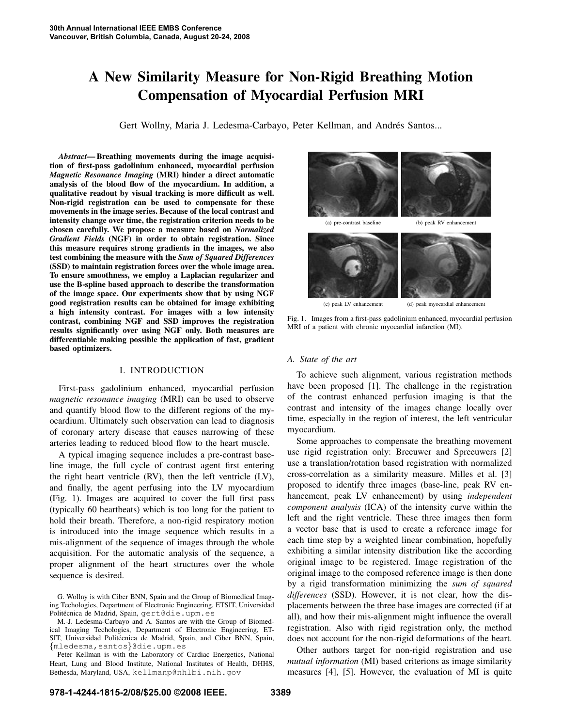# A New Similarity Measure for Non-Rigid Breathing Motion Compensation of Myocardial Perfusion MRI

Gert Wollny, Maria J. Ledesma-Carbayo, Peter Kellman, and Andrés Santos...

*Abstract*— Breathing movements during the image acquisition of first-pass gadolinium enhanced, myocardial perfusion *Magnetic Resonance Imaging* (MRI) hinder a direct automatic analysis of the blood flow of the myocardium. In addition, a qualitative readout by visual tracking is more difficult as well. Non-rigid registration can be used to compensate for these movements in the image series. Because of the local contrast and intensity change over time, the registration criterion needs to be chosen carefully. We propose a measure based on *Normalized Gradient Fields* (NGF) in order to obtain registration. Since this measure requires strong gradients in the images, we also test combining the measure with the *Sum of Squared Differences* (SSD) to maintain registration forces over the whole image area. To ensure smoothness, we employ a Laplacian regularizer and use the B-spline based approach to describe the transformation of the image space. Our experiments show that by using NGF good registration results can be obtained for image exhibiting a high intensity contrast. For images with a low intensity contrast, combining NGF and SSD improves the registration results significantly over using NGF only. Both measures are differentiable making possible the application of fast, gradient based optimizers.

## I. INTRODUCTION

First-pass gadolinium enhanced, myocardial perfusion *magnetic resonance imaging* (MRI) can be used to observe and quantify blood flow to the different regions of the myocardium. Ultimately such observation can lead to diagnosis of coronary artery disease that causes narrowing of these arteries leading to reduced blood flow to the heart muscle.

A typical imaging sequence includes a pre-contrast baseline image, the full cycle of contrast agent first entering the right heart ventricle (RV), then the left ventricle (LV), and finally, the agent perfusing into the LV myocardium (Fig. 1). Images are acquired to cover the full first pass (typically 60 heartbeats) which is too long for the patient to hold their breath. Therefore, a non-rigid respiratory motion is introduced into the image sequence which results in a mis-alignment of the sequence of images through the whole acquisition. For the automatic analysis of the sequence, a proper alignment of the heart structures over the whole sequence is desired.



Fig. 1. Images from a first-pass gadolinium enhanced, myocardial perfusion MRI of a patient with chronic myocardial infarction (MI).

## *A. State of the art*

To achieve such alignment, various registration methods have been proposed [1]. The challenge in the registration of the contrast enhanced perfusion imaging is that the contrast and intensity of the images change locally over time, especially in the region of interest, the left ventricular myocardium.

Some approaches to compensate the breathing movement use rigid registration only: Breeuwer and Spreeuwers [2] use a translation/rotation based registration with normalized cross-correlation as a similarity measure. Milles et al. [3] proposed to identify three images (base-line, peak RV enhancement, peak LV enhancement) by using *independent component analysis* (ICA) of the intensity curve within the left and the right ventricle. These three images then form a vector base that is used to create a reference image for each time step by a weighted linear combination, hopefully exhibiting a similar intensity distribution like the according original image to be registered. Image registration of the original image to the composed reference image is then done by a rigid transformation minimizing the *sum of squared differences* (SSD). However, it is not clear, how the displacements between the three base images are corrected (if at all), and how their mis-alignment might influence the overall registration. Also with rigid registration only, the method does not account for the non-rigid deformations of the heart.

Other authors target for non-rigid registration and use *mutual information* (MI) based criterions as image similarity measures [4], [5]. However, the evaluation of MI is quite

G. Wollny is with Ciber BNN, Spain and the Group of Biomedical Imaging Techologies, Department of Electronic Engineering, ETSIT, Universidad Politécnica de Madrid, Spain, gert@die.upm.es

M.-J. Ledesma-Carbayo and A. Santos are with the Group of Biomedical Imaging Techologies, Department of Electronic Engineering, ET-SIT, Universidad Politécnica de Madrid, Spain, and Ciber BNN, Spain, {mledesma,santos}@die.upm.es

Peter Kellman is with the Laboratory of Cardiac Energetics, National Heart, Lung and Blood Institute, National Institutes of Health, DHHS, Bethesda, Maryland, USA, kellmanp@nhlbi.nih.gov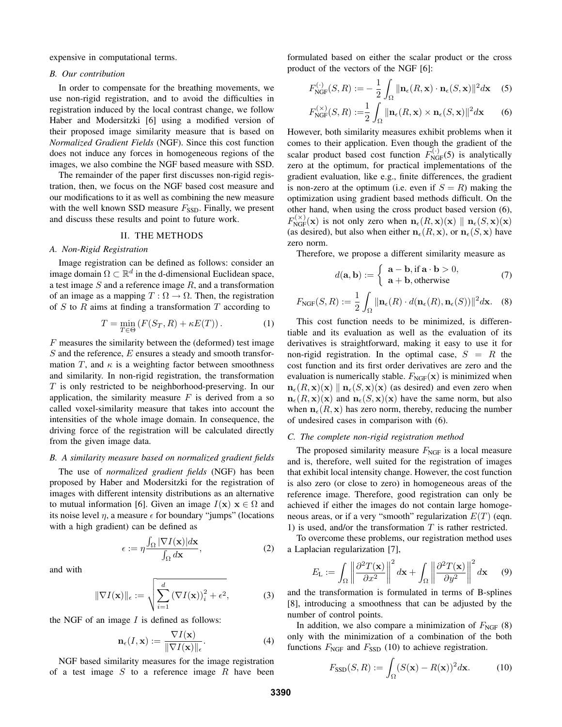expensive in computational terms.

#### *B. Our contribution*

In order to compensate for the breathing movements, we use non-rigid registration, and to avoid the difficulties in registration induced by the local contrast change, we follow Haber and Modersitzki [6] using a modified version of their proposed image similarity measure that is based on *Normalized Gradient Fields* (NGF). Since this cost function does not induce any forces in homogeneous regions of the images, we also combine the NGF based measure with SSD.

The remainder of the paper first discusses non-rigid registration, then, we focus on the NGF based cost measure and our modifications to it as well as combining the new measure with the well known SSD measure  $F_{\text{SSD}}$ . Finally, we present and discuss these results and point to future work.

## II. THE METHODS

#### *A. Non-Rigid Registration*

Image registration can be defined as follows: consider an image domain  $\Omega \subset \mathbb{R}^d$  in the d-dimensional Euclidean space, a test image  $S$  and a reference image  $R$ , and a transformation of an image as a mapping  $T : \Omega \to \Omega$ . Then, the registration of  $S$  to  $R$  aims at finding a transformation  $T$  according to

$$
T = \min_{T \in \Theta} \left( F(S_T, R) + \kappa E(T) \right). \tag{1}
$$

 $F$  measures the similarity between the (deformed) test image  $S$  and the reference,  $E$  ensures a steady and smooth transformation T, and  $\kappa$  is a weighting factor between smoothness and similarity. In non-rigid registration, the transformation T is only restricted to be neighborhood-preserving. In our application, the similarity measure  $F$  is derived from a so called voxel-similarity measure that takes into account the intensities of the whole image domain. In consequence, the driving force of the registration will be calculated directly from the given image data.

## *B. A similarity measure based on normalized gradient fields*

The use of *normalized gradient fields* (NGF) has been proposed by Haber and Modersitzki for the registration of images with different intensity distributions as an alternative to mutual information [6]. Given an image  $I(x)$   $x \in \Omega$  and its noise level  $\eta$ , a measure  $\epsilon$  for boundary "jumps" (locations with a high gradient) can be defined as

$$
\epsilon := \eta \frac{\int_{\Omega} |\nabla I(\mathbf{x})| d\mathbf{x}}{\int_{\Omega} d\mathbf{x}},
$$
 (2)

and with

$$
\|\nabla I(\mathbf{x})\|_{\epsilon} := \sqrt{\sum_{i=1}^{d} (\nabla I(\mathbf{x}))_i^2 + \epsilon^2},
$$
 (3)

the NGF of an image  $I$  is defined as follows:

$$
\mathbf{n}_{\epsilon}(I, \mathbf{x}) := \frac{\nabla I(\mathbf{x})}{\|\nabla I(\mathbf{x})\|_{\epsilon}}.
$$
 (4)

NGF based similarity measures for the image registration of a test image  $S$  to a reference image  $R$  have been formulated based on either the scalar product or the cross product of the vectors of the NGF [6]:

$$
F_{\text{NGF}}^{(\cdot)}(S,R) := -\frac{1}{2} \int_{\Omega} \|\mathbf{n}_{\epsilon}(R,\mathbf{x}) \cdot \mathbf{n}_{\epsilon}(S,\mathbf{x})\|^{2} d\mathbf{x}
$$
 (5)

$$
F_{\text{NGF}}^{(\times)}(S,R) := \frac{1}{2} \int_{\Omega} \|\mathbf{n}_{\epsilon}(R,\mathbf{x}) \times \mathbf{n}_{\epsilon}(S,\mathbf{x})\|^2 d\mathbf{x}
$$
 (6)

However, both similarity measures exhibit problems when it comes to their application. Even though the gradient of the scalar product based cost function  $F_{\text{NGF}}^{(\cdot)}(5)$  is analytically zero at the optimum, for practical implementations of the gradient evaluation, like e.g., finite differences, the gradient is non-zero at the optimum (i.e. even if  $S = R$ ) making the optimization using gradient based methods difficult. On the other hand, when using the cross product based version (6),  $F_{\text{NGF}}^{(\times)}(\mathbf{x})$  is not only zero when  $\mathbf{n}_{\epsilon}(R, \mathbf{x})(\mathbf{x}) \parallel \mathbf{n}_{\epsilon}(S, \mathbf{x})(\mathbf{x})$ (as desired), but also when either  $\mathbf{n}_{\epsilon}(R, \mathbf{x})$ , or  $\mathbf{n}_{\epsilon}(S, \mathbf{x})$  have zero norm.

Therefore, we propose a different similarity measure as

$$
d(\mathbf{a}, \mathbf{b}) := \begin{cases} \mathbf{a} - \mathbf{b}, \text{if } \mathbf{a} \cdot \mathbf{b} > 0, \\ \mathbf{a} + \mathbf{b}, \text{otherwise} \end{cases}
$$
 (7)

$$
F_{\text{NGF}}(S,R) := \frac{1}{2} \int_{\Omega} ||\mathbf{n}_{\epsilon}(R) \cdot d(\mathbf{n}_{\epsilon}(R), \mathbf{n}_{\epsilon}(S))||^{2} d\mathbf{x}.
$$
 (8)

This cost function needs to be minimized, is differentiable and its evaluation as well as the evaluation of its derivatives is straightforward, making it easy to use it for non-rigid registration. In the optimal case,  $S = R$  the cost function and its first order derivatives are zero and the evaluation is numerically stable.  $F_{\text{NGF}}(\mathbf{x})$  is minimized when  $n_{\epsilon}(R, x)(x) \parallel n_{\epsilon}(S, x)(x)$  (as desired) and even zero when  $n_{\epsilon}(R, x)(x)$  and  $n_{\epsilon}(S, x)(x)$  have the same norm, but also when  $\mathbf{n}_{\epsilon}(R, \mathbf{x})$  has zero norm, thereby, reducing the number of undesired cases in comparison with (6).

#### *C. The complete non-rigid registration method*

The proposed similarity measure  $F_{\text{NGF}}$  is a local measure and is, therefore, well suited for the registration of images that exhibit local intensity change. However, the cost function is also zero (or close to zero) in homogeneous areas of the reference image. Therefore, good registration can only be achieved if either the images do not contain large homogeneous areas, or if a very "smooth" regularization  $E(T)$  (eqn. 1) is used, and/or the transformation  $T$  is rather restricted.

To overcome these problems, our registration method uses a Laplacian regularization [7],

$$
E_{\rm L} := \int_{\Omega} \left\| \frac{\partial^2 T(\mathbf{x})}{\partial x^2} \right\|^2 d\mathbf{x} + \int_{\Omega} \left\| \frac{\partial^2 T(\mathbf{x})}{\partial y^2} \right\|^2 d\mathbf{x} \tag{9}
$$

and the transformation is formulated in terms of B-splines [8], introducing a smoothness that can be adjusted by the number of control points.

In addition, we also compare a minimization of  $F_{\text{NGF}}$  (8) only with the minimization of a combination of the both functions  $F_{\text{NGF}}$  and  $F_{\text{SSD}}$  (10) to achieve registration.

$$
F_{\text{SSD}}(S, R) := \int_{\Omega} (S(\mathbf{x}) - R(\mathbf{x}))^2 d\mathbf{x}.
$$
 (10)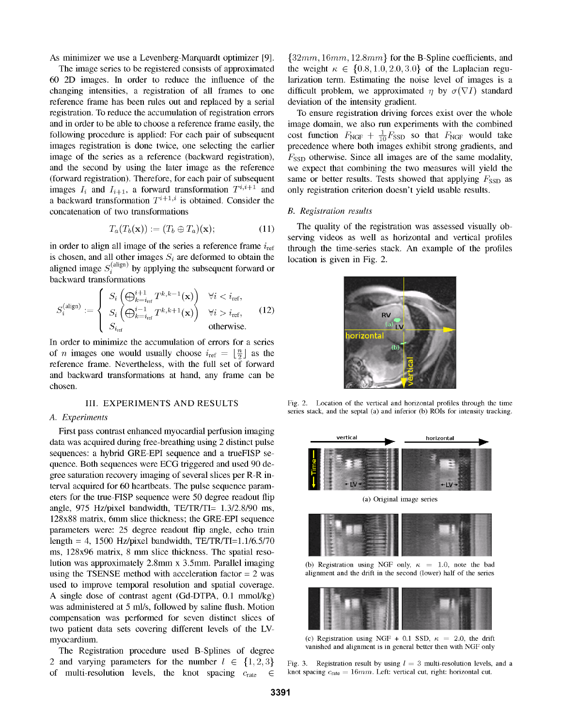As minimizer we use a Levenberg-Marquardt optimizer [9].

The image series to be registered consists of approximated 60 2D images. In order to reduce the influence of the changing intensities, a registration of all frames to one reference frame has been rules out and replaced by a serial registration. To reduce the accumulation of registration errors and in order to be able to choose a reference frame easily, the following procedure is applied: For each pair of subsequent images registration is done twice, one selecting the earlier image of the series as a reference (backward registration), and the second by using the later image as the reference (forward registration). Therefore, for each pair of subsequent images  $I_i$  and  $I_{i+1}$ , a forward transformation  $T^{i,i+1}$  and a backward transformation  $T^{i+1,i}$  is obtained. Consider the concatenation of two transformations

$$
T_a(T_b(\mathbf{x})) := (T_b \oplus T_a)(\mathbf{x}); \tag{11}
$$

in order to align all image of the series a reference frame  $i_{\text{ref}}$ is chosen, and all other images  $S_i$  are deformed to obtain the aligned image  $S_i^{\text{(align)}}$  by applying the subsequent forward or backward transformations

$$
S_i^{(\text{align})} := \begin{cases} S_i \left( \bigoplus_{k=i_{\text{ref}}}^{i+1} T^{k,k-1}(\mathbf{x}) \right) & \forall i < i_{\text{ref}}, \\ S_i \left( \bigoplus_{k=i_{\text{ref}}}^{i-1} T^{k,k+1}(\mathbf{x}) \right) & \forall i > i_{\text{ref}}, \\ S_{i_{\text{ref}}} & \text{otherwise.} \end{cases}
$$
(12)

In order to minimize the accumulation of errors for a series of *n* images one would usually choose  $i_{\text{ref}} = \left| \frac{n}{2} \right|$  as the reference frame. Nevertheless, with the full set of forward and backward transformations at hand, any frame can be chosen.

## **III. EXPERIMENTS AND RESULTS**

## A. Experiments

First pass contrast enhanced myocardial perfusion imaging data was acquired during free-breathing using 2 distinct pulse sequences: a hybrid GRE-EPI sequence and a trueFISP sequence. Both sequences were ECG triggered and used 90 degree saturation recovery imaging of several slices per R-R interval acquired for 60 heartbeats. The pulse sequence parameters for the true-FISP sequence were 50 degree readout flip angle, 975 Hz/pixel bandwidth, TE/TR/TI= 1.3/2.8/90 ms, 128x88 matrix, 6mm slice thickness; the GRE-EPI sequence parameters were: 25 degree readout flip angle, echo train length = 4, 1500 Hz/pixel bandwidth, TE/TR/TI=1.1/6.5/70 ms, 128x96 matrix, 8 mm slice thickness. The spatial resolution was approximately 2.8mm x 3.5mm. Parallel imaging using the TSENSE method with acceleration factor  $= 2$  was used to improve temporal resolution and spatial coverage. A single dose of contrast agent (Gd-DTPA, 0.1 mmol/kg) was administered at 5 ml/s, followed by saline flush. Motion compensation was performed for seven distinct slices of two patient data sets covering different levels of the LVmyocardium.

The Registration procedure used B-Splines of degree 2 and varying parameters for the number  $l \in \{1,2,3\}$ of multi-resolution levels, the knot spacing  $c_{\text{rate}}$  $\in$ 

 $\{32mm, 16mm, 12.8mm\}$  for the B-Spline coefficients, and the weight  $\kappa \in \{0.8, 1.0, 2.0, 3.0\}$  of the Laplacian regularization term. Estimating the noise level of images is a difficult problem, we approximated  $\eta$  by  $\sigma(\nabla I)$  standard deviation of the intensity gradient.

To ensure registration driving forces exist over the whole image domain, we also run experiments with the combined cost function  $F_{\text{NGF}} + \frac{1}{10} F_{\text{SSD}}$  so that  $F_{\text{NGF}}$  would take precedence where both images exhibit strong gradients, and  $F_{\rm SSD}$  otherwise. Since all images are of the same modality, we expect that combining the two measures will yield the same or better results. Tests showed that applying  $F_{\rm SSD}$  as only registration criterion doesn't yield usable results.

## **B.** Registration results

The quality of the registration was assessed visually observing videos as well as horizontal and vertical profiles through the time-series stack. An example of the profiles location is given in Fig. 2.



Fig. 2. Location of the vertical and horizontal profiles through the time series stack, and the septal (a) and inferior (b) ROIs for intensity tracking.





(b) Registration using NGF only,  $\kappa = 1.0$ , note the bad alignment and the drift in the second (lower) half of the series



(c) Registration using NGF + 0.1 SSD,  $\kappa = 2.0$ , the drift vanished and alignment is in general better then with NGF only

Fig. 3. Registration result by using  $l = 3$  multi-resolution levels, and a knot spacing  $c_{\text{rate}} = 16mm$ . Left: vertical cut, right: horizontal cut.